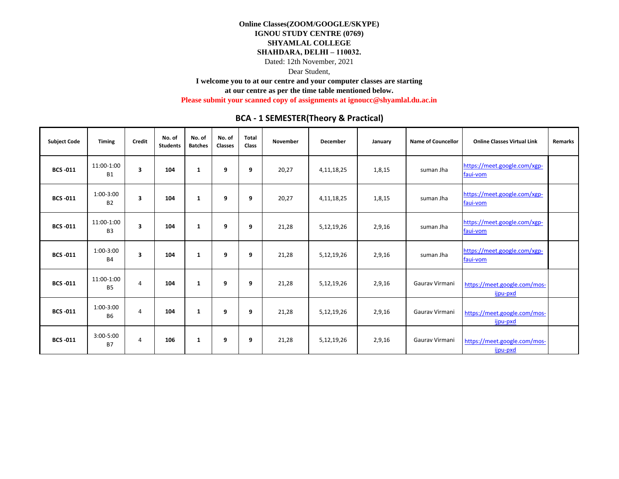Dear Student,

**I welcome you to at our centre and your computer classes are starting** 

**at our centre as per the time table mentioned below.** 

**Please submit your scanned copy of assignments at ignoucc@shyamlal.du.ac.in**

| <b>Subject Code</b> | <b>Timing</b>                | Credit                  | No. of<br><b>Students</b> | No. of<br><b>Batches</b> | No. of<br><b>Classes</b> | <b>Total</b><br><b>Class</b> | November | <b>December</b> | January | Name of Councellor | <b>Online Classes Virtual Link</b>       | <b>Remarks</b> |
|---------------------|------------------------------|-------------------------|---------------------------|--------------------------|--------------------------|------------------------------|----------|-----------------|---------|--------------------|------------------------------------------|----------------|
| <b>BCS-011</b>      | 11:00-1:00<br><b>B1</b>      | 3                       | 104                       | 1                        | 9                        | 9                            | 20,27    | 4, 11, 18, 25   | 1,8,15  | suman Jha          | https://meet.google.com/xgp-<br>faui-vom |                |
| <b>BCS-011</b>      | 1:00-3:00<br><b>B2</b>       | 3                       | 104                       | 1                        | 9                        | 9                            | 20,27    | 4, 11, 18, 25   | 1,8,15  | suman Jha          | https://meet.google.com/xgp-<br>faui-vom |                |
| <b>BCS-011</b>      | 11:00-1:00<br>B <sub>3</sub> | $\overline{\mathbf{3}}$ | 104                       | 1                        | 9                        | 9                            | 21,28    | 5,12,19,26      | 2,9,16  | suman Jha          | https://meet.google.com/xgp-<br>faui-vom |                |
| <b>BCS-011</b>      | 1:00-3:00<br><b>B4</b>       | $\overline{\mathbf{3}}$ | 104                       | 1                        | 9                        | 9                            | 21,28    | 5,12,19,26      | 2,9,16  | suman Jha          | https://meet.google.com/xgp-<br>faui-vom |                |
| <b>BCS-011</b>      | 11:00-1:00<br><b>B5</b>      | $\overline{4}$          | 104                       | 1                        | 9                        | 9                            | 21,28    | 5,12,19,26      | 2,9,16  | Gauray Virmani     | https://meet.google.com/mos-<br>ijpu-pxd |                |
| <b>BCS-011</b>      | $1:00-3:00$<br><b>B6</b>     | $\overline{4}$          | 104                       | 1                        | 9                        | 9                            | 21,28    | 5,12,19,26      | 2,9,16  | Gauray Virmani     | https://meet.google.com/mos-<br>ijpu-pxd |                |
| <b>BCS-011</b>      | 3:00-5:00<br><b>B7</b>       | 4                       | 106                       | 1                        | 9                        | 9                            | 21,28    | 5,12,19,26      | 2,9,16  | Gauray Virmani     | https://meet.google.com/mos-<br>ijpu-pxd |                |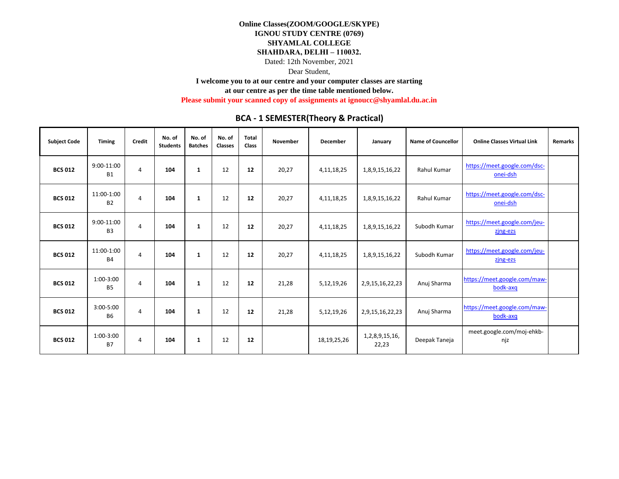Dear Student,

**I welcome you to at our centre and your computer classes are starting** 

**at our centre as per the time table mentioned below.** 

**Please submit your scanned copy of assignments at ignoucc@shyamlal.du.ac.in**

| <b>Subject Code</b> | <b>Timing</b>                | Credit | No. of<br><b>Students</b> | No. of<br><b>Batches</b> | No. of<br><b>Classes</b> | <b>Total</b><br>Class | November | <b>December</b> | January                 | <b>Name of Councellor</b> | <b>Online Classes Virtual Link</b>       | <b>Remarks</b> |
|---------------------|------------------------------|--------|---------------------------|--------------------------|--------------------------|-----------------------|----------|-----------------|-------------------------|---------------------------|------------------------------------------|----------------|
| <b>BCS 012</b>      | 9:00-11:00<br><b>B1</b>      | 4      | 104                       | 1                        | 12                       | 12                    | 20,27    | 4, 11, 18, 25   | 1,8,9,15,16,22          | <b>Rahul Kumar</b>        | https://meet.google.com/dsc-<br>onei-dsh |                |
| <b>BCS 012</b>      | 11:00-1:00<br>B <sub>2</sub> | 4      | 104                       | 1                        | 12                       | 12                    | 20,27    | 4, 11, 18, 25   | 1,8,9,15,16,22          | Rahul Kumar               | https://meet.google.com/dsc-<br>onei-dsh |                |
| <b>BCS 012</b>      | 9:00-11:00<br><b>B3</b>      | 4      | 104                       | 1                        | 12                       | 12                    | 20,27    | 4, 11, 18, 25   | 1,8,9,15,16,22          | Subodh Kumar              | https://meet.google.com/jeu-<br>zing-ezs |                |
| <b>BCS 012</b>      | 11:00-1:00<br><b>B4</b>      | 4      | 104                       | 1                        | 12                       | 12                    | 20,27    | 4, 11, 18, 25   | 1,8,9,15,16,22          | Subodh Kumar              | https://meet.google.com/jeu-<br>zing-ezs |                |
| <b>BCS 012</b>      | 1:00-3:00<br><b>B5</b>       | 4      | 104                       | 1                        | 12                       | 12                    | 21,28    | 5,12,19,26      | 2,9,15,16,22,23         | Anuj Sharma               | https://meet.google.com/maw-<br>bodk-axq |                |
| <b>BCS 012</b>      | 3:00-5:00<br><b>B6</b>       | 4      | 104                       | 1                        | 12                       | 12                    | 21,28    | 5,12,19,26      | 2,9,15,16,22,23         | Anuj Sharma               | https://meet.google.com/maw-<br>bodk-axq |                |
| <b>BCS 012</b>      | 1:00-3:00<br><b>B7</b>       | 4      | 104                       | 1                        | 12                       | 12                    |          | 18,19,25,26     | 1,2,8,9,15,16,<br>22,23 | Deepak Taneja             | meet.google.com/moj-ehkb-<br>njz         |                |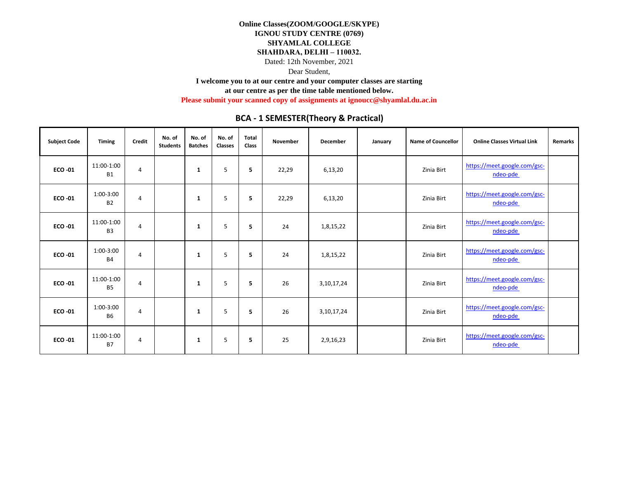Dear Student,

**I welcome you to at our centre and your computer classes are starting** 

**at our centre as per the time table mentioned below.** 

**Please submit your scanned copy of assignments at ignoucc@shyamlal.du.ac.in**

| <b>Subject Code</b> | <b>Timing</b>                | Credit         | No. of<br><b>Students</b> | No. of<br><b>Batches</b> | No. of<br>Classes | <b>Total</b><br>Class | November | <b>December</b> | January | <b>Name of Councellor</b> | <b>Online Classes Virtual Link</b>       | <b>Remarks</b> |
|---------------------|------------------------------|----------------|---------------------------|--------------------------|-------------------|-----------------------|----------|-----------------|---------|---------------------------|------------------------------------------|----------------|
| <b>ECO -01</b>      | 11:00-1:00<br><b>B1</b>      | 4              |                           | 1                        | 5                 | 5                     | 22,29    | 6,13,20         |         | Zinia Birt                | https://meet.google.com/gsc-<br>ndeo-pde |                |
| <b>ECO -01</b>      | 1:00-3:00<br><b>B2</b>       | 4              |                           | 1                        | 5                 | 5                     | 22,29    | 6,13,20         |         | Zinia Birt                | https://meet.google.com/gsc-<br>ndeo-pde |                |
| <b>ECO -01</b>      | 11:00-1:00<br>B <sub>3</sub> | 4              |                           | 1                        | 5                 | 5                     | 24       | 1,8,15,22       |         | Zinia Birt                | https://meet.google.com/gsc-<br>ndeo-pde |                |
| <b>ECO -01</b>      | 1:00-3:00<br><b>B4</b>       | 4              |                           | 1                        | 5                 | 5                     | 24       | 1,8,15,22       |         | Zinia Birt                | https://meet.google.com/gsc-<br>ndeo-pde |                |
| <b>ECO -01</b>      | 11:00-1:00<br><b>B5</b>      | 4              |                           | 1                        | 5                 | 5                     | 26       | 3,10,17,24      |         | Zinia Birt                | https://meet.google.com/gsc-<br>ndeo-pde |                |
| <b>ECO -01</b>      | 1:00-3:00<br><b>B6</b>       | $\overline{4}$ |                           | 1                        | 5                 | 5                     | 26       | 3,10,17,24      |         | Zinia Birt                | https://meet.google.com/gsc-<br>ndeo-pde |                |
| <b>ECO -01</b>      | 11:00-1:00<br><b>B7</b>      | 4              |                           | 1                        | 5                 | 5                     | 25       | 2,9,16,23       |         | Zinia Birt                | https://meet.google.com/gsc-<br>ndeo-pde |                |